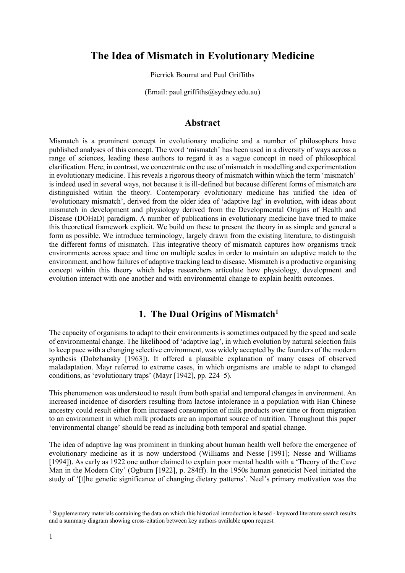# **The Idea of Mismatch in Evolutionary Medicine**

Pierrick Bourrat and Paul Griffiths

(Email: paul.griffiths@sydney.edu.au)

## **Abstract**

Mismatch is a prominent concept in evolutionary medicine and a number of philosophers have published analyses of this concept. The word 'mismatch' has been used in a diversity of ways across a range of sciences, leading these authors to regard it as a vague concept in need of philosophical clarification. Here, in contrast, we concentrate on the use of mismatch in modelling and experimentation in evolutionary medicine. This reveals a rigorous theory of mismatch within which the term 'mismatch' is indeed used in several ways, not because it is ill-defined but because different forms of mismatch are distinguished within the theory. Contemporary evolutionary medicine has unified the idea of 'evolutionary mismatch', derived from the older idea of 'adaptive lag' in evolution, with ideas about mismatch in development and physiology derived from the Developmental Origins of Health and Disease (DOHaD) paradigm. A number of publications in evolutionary medicine have tried to make this theoretical framework explicit. We build on these to present the theory in as simple and general a form as possible. We introduce terminology, largely drawn from the existing literature, to distinguish the different forms of mismatch. This integrative theory of mismatch captures how organisms track environments across space and time on multiple scales in order to maintain an adaptive match to the environment, and how failures of adaptive tracking lead to disease. Mismatch is a productive organising concept within this theory which helps researchers articulate how physiology, development and evolution interact with one another and with environmental change to explain health outcomes.

# **1.** The Dual Origins of Mismatch<sup>1</sup>

The capacity of organisms to adapt to their environments is sometimes outpaced by the speed and scale of environmental change. The likelihood of 'adaptive lag', in which evolution by natural selection fails to keep pace with a changing selective environment, was widely accepted by the founders of the modern synthesis (Dobzhansky [1963]). It offered a plausible explanation of many cases of observed maladaptation. Mayr referred to extreme cases, in which organisms are unable to adapt to changed conditions, as 'evolutionary traps' (Mayr [1942], pp. 224–5).

This phenomenon was understood to result from both spatial and temporal changes in environment. An increased incidence of disorders resulting from lactose intolerance in a population with Han Chinese ancestry could result either from increased consumption of milk products over time or from migration to an environment in which milk products are an important source of nutrition. Throughout this paper 'environmental change' should be read as including both temporal and spatial change.

The idea of adaptive lag was prominent in thinking about human health well before the emergence of evolutionary medicine as it is now understood (Williams and Nesse [1991]; Nesse and Williams [1994]). As early as 1922 one author claimed to explain poor mental health with a 'Theory of the Cave Man in the Modern City' (Ogburn [1922], p. 284ff). In the 1950s human geneticist Neel initiated the study of '[t]he genetic significance of changing dietary patterns'. Neel's primary motivation was the

<sup>&</sup>lt;sup>1</sup> Supplementary materials containing the data on which this historical introduction is based - keyword literature search results and a summary diagram showing cross-citation between key authors available upon request.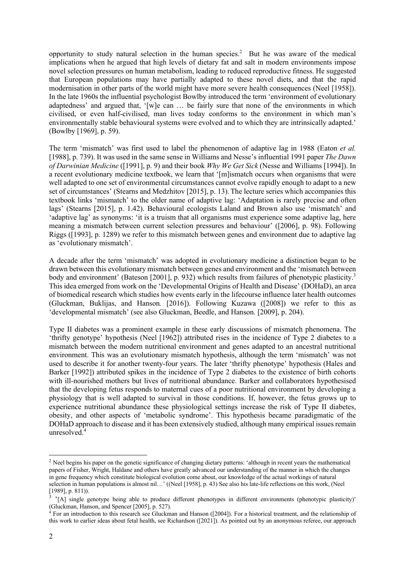opportunity to study natural selection in the human species.<sup>2</sup> But he was aware of the medical implications when he argued that high levels of dietary fat and salt in modern environments impose novel selection pressures on human metabolism, leading to reduced reproductive fitness. He suggested that European populations may have partially adapted to these novel diets, and that the rapid modernisation in other parts of the world might have more severe health consequences (Neel [1958]). In the late 1960s the influential psychologist Bowlby introduced the term 'environment of evolutionary adaptedness' and argued that, '[w]e can … be fairly sure that none of the environments in which civilised, or even half-civilised, man lives today conforms to the environment in which man's environmentally stable behavioural systems were evolved and to which they are intrinsically adapted.' (Bowlby [1969], p. 59).

The term 'mismatch' was first used to label the phenomenon of adaptive lag in 1988 (Eaton *et al.* [1988], p. 739). It was used in the same sense in Williams and Nesse's influential 1991 paper *The Dawn of Darwinian Medicine* ([1991], p. 9) and their book *Why We Get Sick* (Nesse and Williams [1994]). In a recent evolutionary medicine textbook, we learn that '[m]ismatch occurs when organisms that were well adapted to one set of environmental circumstances cannot evolve rapidly enough to adapt to a new set of circumstances' (Stearns and Medzhitov [2015], p. 13).The lecture series which accompanies this textbook links 'mismatch' to the older name of adaptive lag: 'Adaptation is rarely precise and often lags' (Stearns [2015], p. 1.42). Behavioural ecologists Laland and Brown also use 'mismatch' and 'adaptive lag' as synonyms: 'it is a truism that all organisms must experience some adaptive lag, here meaning a mismatch between current selection pressures and behaviour' ([2006], p. 98). Following Riggs ([1993], p. 1289) we refer to this mismatch between genes and environment due to adaptive lag as 'evolutionary mismatch'.

A decade after the term 'mismatch' was adopted in evolutionary medicine a distinction began to be drawn between this evolutionary mismatch between genes and environment and the 'mismatch between body and environment' (Bateson [2001], p. 932) which results from failures of phenotypic plasticity.<sup>3</sup> This idea emerged from work on the 'Developmental Origins of Health and Disease' (DOHaD), an area of biomedical research which studies how events early in the lifecourse influence later health outcomes (Gluckman, Buklijas, and Hanson*.* [2016]). Following Kuzawa ([2008]) we refer to this as 'developmental mismatch' (see also Gluckman, Beedle, and Hanson*.* [2009], p. 204).

Type II diabetes was a prominent example in these early discussions of mismatch phenomena. The 'thrifty genotype' hypothesis (Neel [1962]) attributed rises in the incidence of Type 2 diabetes to a mismatch between the modern nutritional environment and genes adapted to an ancestral nutritional environment. This was an evolutionary mismatch hypothesis, although the term 'mismatch' was not used to describe it for another twenty-four years. The later 'thrifty phenotype' hypothesis (Hales and Barker [1992]) attributed spikes in the incidence of Type 2 diabetes to the existence of birth cohorts with ill-nourished mothers but lives of nutritional abundance. Barker and collaborators hypothesised that the developing fetus responds to maternal cues of a poor nutritional environment by developing a physiology that is well adapted to survival in those conditions. If, however, the fetus grows up to experience nutritional abundance these physiological settings increase the risk of Type II diabetes, obesity, and other aspects of 'metabolic syndrome'. This hypothesis became paradigmatic of the DOHaD approach to disease and it has been extensively studied, although many empirical issues remain unresolved. 4

<sup>&</sup>lt;sup>2</sup> Neel begins his paper on the genetic significance of changing dietary patterns: 'although in recent years the mathematical papers of Fisher, Wright, Haldane and others have greatly advanced our understanding of the manner in which the changes in gene frequency which constitute biological evolution come about, our knowledge of the actual workings of natural selection in human populations is almost nil…' ((Neel [1958], p. 43) See also his late-life reflections on this work, (Neel [1989], p. 811)).

<sup>&</sup>lt;sup>1505</sup>, p. 3.11...<br><sup>3</sup> '[A] single genotype being able to produce different phenotypes in different environments (phenotypic plasticity)' (Gluckman, Hanson, and Spencer [2005], p. 527).

<sup>4</sup> For an introduction to this research see Gluckman and Hanson ([2004]). For a historical treatment, and the relationship of this work to earlier ideas about fetal health, see Richardson ([2021]). As pointed out by an anonymous referee, our approach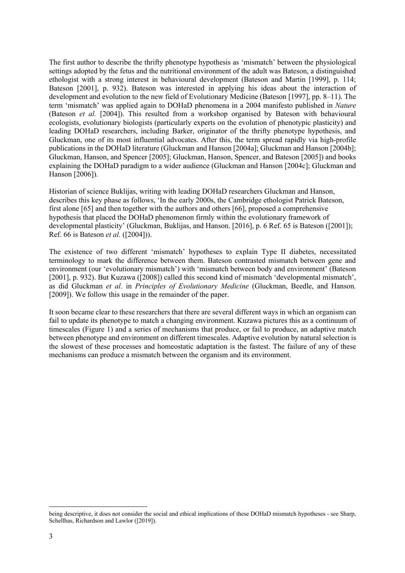The first author to describe the thrifty phenotype hypothesis as 'mismatch' between the physiological settings adopted by the fetus and the nutritional environment of the adult was Bateson, a distinguished ethologist with a strong interest in behavioural development (Bateson and Martin [1999], p. 114; Bateson [2001], p. 932). Bateson was interested in applying his ideas about the interaction of development and evolution to the new field of Evolutionary Medicine (Bateson [1997], pp. 8–11). The term 'mismatch' was applied again to DOHaD phenomena in a 2004 manifesto published in *Nature* (Bateson *et al.* [2004]). This resulted from a workshop organised by Bateson with behavioural ecologists, evolutionary biologists (particularly experts on the evolution of phenotypic plasticity) and leading DOHaD researchers, including Barker, originator of the thrifty phenotype hypothesis, and Gluckman, one of its most influential advocates. After this, the term spread rapidly via high-profile publications in the DOHaD literature (Gluckman and Hanson [2004a]; Gluckman and Hanson [2004b]; Gluckman, Hanson, and Spencer [2005]; Gluckman, Hanson, Spencer, and Bateson [2005]) and books explaining the DOHaD paradigm to a wider audience (Gluckman and Hanson [2004c]; Gluckman and Hanson [2006]).

Historian of science Buklijas, writing with leading DOHaD researchers Gluckman and Hanson, describes this key phase as follows, 'In the early 2000s, the Cambridge ethologist Patrick Bateson, first alone [65] and then together with the authors and others [66], proposed a comprehensive hypothesis that placed the DOHaD phenomenon firmly within the evolutionary framework of developmental plasticity' (Gluckman, Buklijas, and Hanson. [2016], p. 6 Ref. 65 is Bateson ([2001]); Ref. 66 is Bateson *et al.* ([2004])).

The existence of two different 'mismatch' hypotheses to explain Type II diabetes, necessitated terminology to mark the difference between them. Bateson contrasted mismatch between gene and environment (our 'evolutionary mismatch') with 'mismatch between body and environment' (Bateson [2001], p. 932). But Kuzawa ([2008]) called this second kind of mismatch 'developmental mismatch', as did Gluckman *et al*. in *Principles of Evolutionary Medicine* (Gluckman, Beedle, and Hanson*.* [2009]). We follow this usage in the remainder of the paper.

It soon became clear to these researchers that there are several different ways in which an organism can fail to update its phenotype to match a changing environment. Kuzawa pictures this as a continuum of timescales (Figure 1) and a series of mechanisms that produce, or fail to produce, an adaptive match between phenotype and environment on different timescales. Adaptive evolution by natural selection is the slowest of these processes and homeostatic adaptation is the fastest. The failure of any of these mechanisms can produce a mismatch between the organism and its environment.

being descriptive, it does not consider the social and ethical implications of these DOHaD mismatch hypotheses - see Sharp, Schellhas, Richardson and Lawlor ([2019]).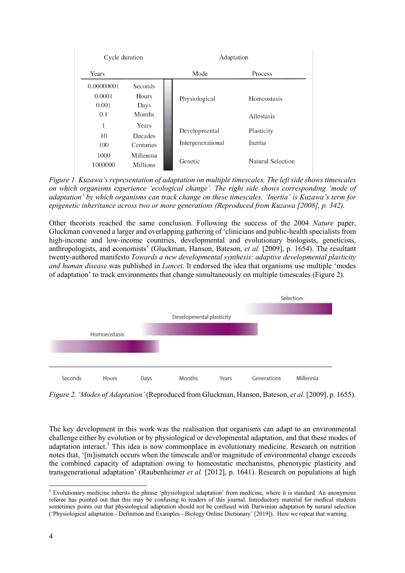| Cycle duration                       |                                                   | Adaptation                         |                                         |  |
|--------------------------------------|---------------------------------------------------|------------------------------------|-----------------------------------------|--|
| Years                                |                                                   | Mode                               | Process                                 |  |
| 0.00000001<br>0.0001<br>0.001<br>0.1 | Seconds<br><b>Hours</b><br>Days<br><b>Months</b>  | Physiological                      | <b>Homeostasis</b><br><b>Allostasis</b> |  |
| 1<br>10<br>100<br>1000               | Years<br>Decades<br><b>Centuries</b><br>Millennia | Developmental<br>Intergenerational | Plasticity<br>Inertia                   |  |
| 1000000                              | <b>Millions</b>                                   | Genetic                            | <b>Natural Selection</b>                |  |

*Figure 1. Kuzawa's representation of adaptation on multiple timescales. The left side shows timescales on which organisms experience 'ecological change'. The right side shows corresponding 'mode of adaptation' by which organisms can track change on these timescales. 'Inertia' is Kuzawa's term for epigenetic inheritance across two or more generations (Reproduced from Kuzawa [2008], p. 342).*

Other theorists reached the same conclusion. Following the success of the 2004 *Nature* paper, Gluckman convened a larger and overlapping gathering of 'clinicians and public-health specialists from high-income and low-income countries, developmental and evolutionary biologists, geneticists, anthropologists, and economists' (Gluckman, Hanson, Bateson, *et al.* [2009], p. 1654). The resultant twenty-authored manifesto *Towards a new developmental synthesis: adaptive developmental plasticity and human disease* was published in *Lancet*. It endorsed the idea that organisms use multiple 'modes of adaptation' to track environments that change simultaneously on multiple timescales (Figure 2).



*Figure 2. 'Modes of Adaptation'* (Reproduced from Gluckman, Hanson, Bateson, *et al.* [2009], p. 1655)*.*

The key development in this work was the realisation that organisms can adapt to an environmental challenge either by evolution or by physiological or developmental adaptation, and that these modes of adaptation interact.<sup>5</sup> This idea is now commonplace in evolutionary medicine. Research on nutrition notes that, '[m]ismatch occurs when the timescale and/or magnitude of environmental change exceeds the combined capacity of adaptation owing to homeostatic mechanisms, phenotypic plasticity and transgenerational adaptation' (Raubenheimer *et al.* [2012], p. 1641). Research on populations at high

<sup>5</sup> Evolutionary medicine inherits the phrase 'physiological adaptation' from medicine, where it is standard. An anonymous referee has pointed out that this may be confusing to readers of this journal. Introductory material for medical students sometimes points out that physiological adaptation should not be confused with Darwinian adaptation by natural selection ('Physiological adaptation - Definition and Examples - Biology Online Dictionary' [2019]). Here we repeat that warning.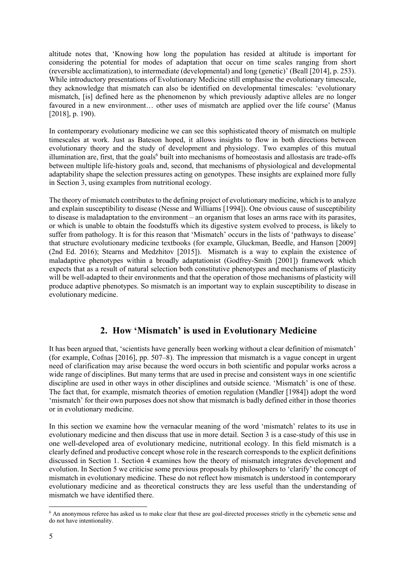altitude notes that, 'Knowing how long the population has resided at altitude is important for considering the potential for modes of adaptation that occur on time scales ranging from short (reversible acclimatization), to intermediate (developmental) and long (genetic)' (Beall [2014], p. 253). While introductory presentations of Evolutionary Medicine still emphasise the evolutionary timescale, they acknowledge that mismatch can also be identified on developmental timescales: 'evolutionary mismatch, [is] defined here as the phenomenon by which previously adaptive alleles are no longer favoured in a new environment… other uses of mismatch are applied over the life course' (Manus [2018], p. 190).

In contemporary evolutionary medicine we can see this sophisticated theory of mismatch on multiple timescales at work. Just as Bateson hoped, it allows insights to flow in both directions between evolutionary theory and the study of development and physiology. Two examples of this mutual illumination are, first, that the goals<sup>6</sup> built into mechanisms of homeostasis and allostasis are trade-offs between multiple life-history goals and, second, that mechanisms of physiological and developmental adaptability shape the selection pressures acting on genotypes. These insights are explained more fully in Section 3, using examples from nutritional ecology.

The theory of mismatch contributes to the defining project of evolutionary medicine, which is to analyze and explain susceptibility to disease (Nesse and Williams [1994]). One obvious cause of susceptibility to disease is maladaptation to the environment – an organism that loses an arms race with its parasites, or which is unable to obtain the foodstuffs which its digestive system evolved to process, is likely to suffer from pathology. It is for this reason that 'Mismatch' occurs in the lists of 'pathways to disease' that structure evolutionary medicine textbooks (for example, Gluckman, Beedle, and Hanson [2009] (2nd Ed. 2016); Stearns and Medzhitov [2015]). Mismatch is a way to explain the existence of maladaptive phenotypes within a broadly adaptationist (Godfrey-Smith [2001]) framework which expects that as a result of natural selection both constitutive phenotypes and mechanisms of plasticity will be well-adapted to their environments and that the operation of those mechanisms of plasticity will produce adaptive phenotypes. So mismatch is an important way to explain susceptibility to disease in evolutionary medicine.

## **2. How 'Mismatch' is used in Evolutionary Medicine**

It has been argued that, 'scientists have generally been working without a clear definition of mismatch' (for example, Cofnas [2016], pp. 507–8). The impression that mismatch is a vague concept in urgent need of clarification may arise because the word occurs in both scientific and popular works across a wide range of disciplines. But many terms that are used in precise and consistent ways in one scientific discipline are used in other ways in other disciplines and outside science. 'Mismatch' is one of these. The fact that, for example, mismatch theories of emotion regulation (Mandler [1984]) adopt the word 'mismatch' for their own purposes does not show that mismatch is badly defined either in those theories or in evolutionary medicine.

In this section we examine how the vernacular meaning of the word 'mismatch' relates to its use in evolutionary medicine and then discuss that use in more detail. Section 3 is a case-study of this use in one well-developed area of evolutionary medicine, nutritional ecology. In this field mismatch is a clearly defined and productive concept whose role in the research corresponds to the explicit definitions discussed in Section 1. Section 4 examines how the theory of mismatch integrates development and evolution. In Section 5 we criticise some previous proposals by philosophers to 'clarify' the concept of mismatch in evolutionary medicine. These do not reflect how mismatch is understood in contemporary evolutionary medicine and as theoretical constructs they are less useful than the understanding of mismatch we have identified there.

<sup>6</sup> An anonymous referee has asked us to make clear that these are goal-directed processes strictly in the cybernetic sense and do not have intentionality.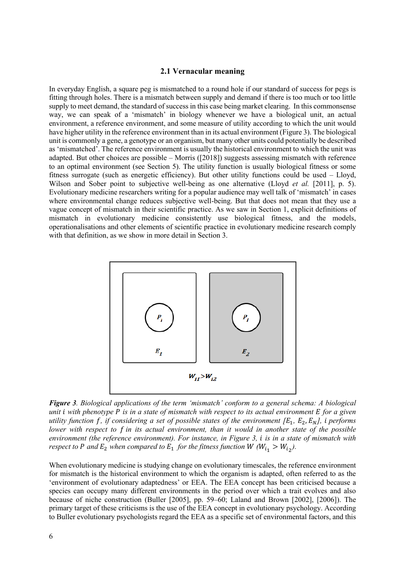#### **2.1 Vernacular meaning**

In everyday English, a square peg is mismatched to a round hole if our standard of success for pegs is fitting through holes. There is a mismatch between supply and demand if there is too much or too little supply to meet demand, the standard of success in this case being market clearing. In this commonsense way, we can speak of a 'mismatch' in biology whenever we have a biological unit, an actual environment, a reference environment, and some measure of utility according to which the unit would have higher utility in the reference environment than in its actual environment (Figure 3). The biological unit is commonly a gene, a genotype or an organism, but many other units could potentially be described as 'mismatched'. The reference environment is usually the historical environment to which the unit was adapted. But other choices are possible – Morris ([2018]) suggests assessing mismatch with reference to an optimal environment (see Section 5). The utility function is usually biological fitness or some fitness surrogate (such as energetic efficiency). But other utility functions could be used – Lloyd, Wilson and Sober point to subjective well-being as one alternative (Lloyd *et al.* [2011], p. 5). Evolutionary medicine researchers writing for a popular audience may well talk of 'mismatch' in cases where environmental change reduces subjective well-being. But that does not mean that they use a vague concept of mismatch in their scientific practice. As we saw in Section 1, explicit definitions of mismatch in evolutionary medicine consistently use biological fitness, and the models, operationalisations and other elements of scientific practice in evolutionary medicine research comply with that definition, as we show in more detail in Section 3.



*Figure 3. Biological applications of the term 'mismatch' conform to a general schema: A biological unit i with phenotype P is in a state of mismatch with respect to its actual environment E for a given utility function f, if considering a set of possible states of the environment*  $[E_1, E_2, E_N]$ *, i performs lower with respect to in its actual environment, than it would in another state of the possible environment (the reference environment). For instance, in Figure 3, is in a state of mismatch with respect to P and*  $E_2$  *when compared to*  $E_1$  *for the fitness function W*  ( $W_{i_1} > W_{i_2}$ ).

When evolutionary medicine is studying change on evolutionary timescales, the reference environment for mismatch is the historical environment to which the organism is adapted, often referred to as the 'environment of evolutionary adaptedness' or EEA. The EEA concept has been criticised because a species can occupy many different environments in the period over which a trait evolves and also because of niche construction (Buller [2005], pp. 59–60; Laland and Brown [2002], [2006]). The primary target of these criticisms is the use of the EEA concept in evolutionary psychology. According to Buller evolutionary psychologists regard the EEA as a specific set of environmental factors, and this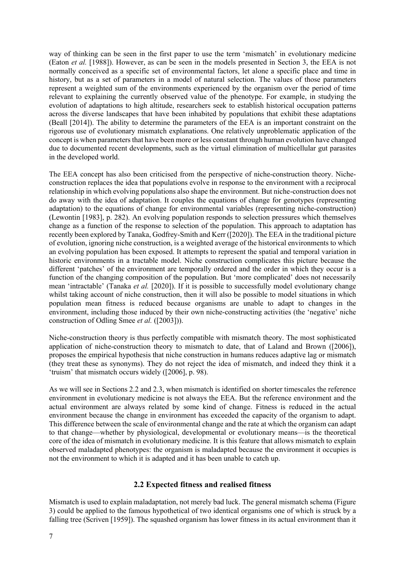way of thinking can be seen in the first paper to use the term 'mismatch' in evolutionary medicine (Eaton *et al.* [1988]). However, as can be seen in the models presented in Section 3, the EEA is not normally conceived as a specific set of environmental factors, let alone a specific place and time in history, but as a set of parameters in a model of natural selection. The values of those parameters represent a weighted sum of the environments experienced by the organism over the period of time relevant to explaining the currently observed value of the phenotype. For example, in studying the evolution of adaptations to high altitude, researchers seek to establish historical occupation patterns across the diverse landscapes that have been inhabited by populations that exhibit these adaptations (Beall [2014]). The ability to determine the parameters of the EEA is an important constraint on the rigorous use of evolutionary mismatch explanations. One relatively unproblematic application of the concept is when parameters that have been more or less constant through human evolution have changed due to documented recent developments, such as the virtual elimination of multicellular gut parasites in the developed world.

The EEA concept has also been criticised from the perspective of niche-construction theory. Nicheconstruction replaces the idea that populations evolve in response to the environment with a reciprocal relationship in which evolving populations also shape the environment. But niche-construction does not do away with the idea of adaptation. It couples the equations of change for genotypes (representing adaptation) to the equations of change for environmental variables (representing niche-construction) (Lewontin [1983], p. 282). An evolving population responds to selection pressures which themselves change as a function of the response to selection of the population. This approach to adaptation has recently been explored by Tanaka, Godfrey-Smith and Kerr ([2020]). The EEA in the traditional picture of evolution, ignoring niche construction, is a weighted average of the historical environments to which an evolving population has been exposed. It attempts to represent the spatial and temporal variation in historic environments in a tractable model. Niche construction complicates this picture because the different 'patches' of the environment are temporally ordered and the order in which they occur is a function of the changing composition of the population. But 'more complicated' does not necessarily mean 'intractable' (Tanaka *et al.* [2020]). If it is possible to successfully model evolutionary change whilst taking account of niche construction, then it will also be possible to model situations in which population mean fitness is reduced because organisms are unable to adapt to changes in the environment, including those induced by their own niche-constructing activities (the 'negative' niche construction of Odling Smee *et al.* ([2003])).

Niche-construction theory is thus perfectly compatible with mismatch theory. The most sophisticated application of niche-construction theory to mismatch to date, that of Laland and Brown ([2006]), proposes the empirical hypothesis that niche construction in humans reduces adaptive lag or mismatch (they treat these as synonyms). They do not reject the idea of mismatch, and indeed they think it a 'truism' that mismatch occurs widely ([2006], p. 98).

As we will see in Sections 2.2 and 2.3, when mismatch is identified on shorter timescales the reference environment in evolutionary medicine is not always the EEA. But the reference environment and the actual environment are always related by some kind of change. Fitness is reduced in the actual environment because the change in environment has exceeded the capacity of the organism to adapt. This difference between the scale of environmental change and the rate at which the organism can adapt to that change—whether by physiological, developmental or evolutionary means—is the theoretical core of the idea of mismatch in evolutionary medicine. It is this feature that allows mismatch to explain observed maladapted phenotypes: the organism is maladapted because the environment it occupies is not the environment to which it is adapted and it has been unable to catch up.

#### **2.2 Expected fitness and realised fitness**

Mismatch is used to explain maladaptation, not merely bad luck. The general mismatch schema (Figure 3) could be applied to the famous hypothetical of two identical organisms one of which is struck by a falling tree (Scriven [1959]). The squashed organism has lower fitness in its actual environment than it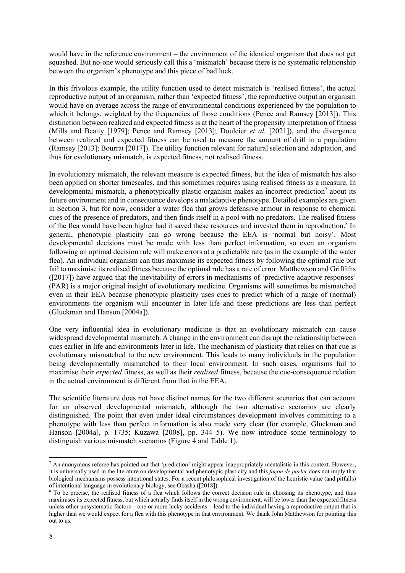would have in the reference environment – the environment of the identical organism that does not get squashed. But no-one would seriously call this a 'mismatch' because there is no systematic relationship between the organism's phenotype and this piece of bad luck.

In this frivolous example, the utility function used to detect mismatch is 'realised fitness', the actual reproductive output of an organism, rather than 'expected fitness', the reproductive output an organism would have on average across the range of environmental conditions experienced by the population to which it belongs, weighted by the frequencies of those conditions (Pence and Ramsey [2013]). This distinction between realized and expected fitness is at the heart of the propensity interpretation of fitness (Mills and Beatty [1979]; Pence and Ramsey [2013]; Doulcier *et al.* [2021]), and the divergence between realized and expected fitness can be used to measure the amount of drift in a population (Ramsey [2013]; Bourrat [2017]). The utility function relevant for natural selection and adaptation, and thus for evolutionary mismatch, is expected fitness, not realised fitness.

In evolutionary mismatch, the relevant measure is expected fitness, but the idea of mismatch has also been applied on shorter timescales, and this sometimes requires using realised fitness as a measure. In developmental mismatch, a phenotypically plastic organism makes an incorrect prediction<sup>7</sup> about its future environment and in consequence develops a maladaptive phenotype. Detailed examples are given in Section 3, but for now, consider a water flea that grows defensive armour in response to chemical cues of the presence of predators, and then finds itself in a pool with no predators. The realised fitness of the flea would have been higher had it saved these resources and invested them in reproduction.<sup>8</sup> In general, phenotypic plasticity can go wrong because the EEA is 'normal but noisy'. Most developmental decisions must be made with less than perfect information, so even an organism following an optimal decision rule will make errors at a predictable rate (as in the example of the water flea). An individual organism can thus maximise its expected fitness by following the optimal rule but fail to maximise its realised fitness because the optimal rule has a rate of error. Matthewson and Griffiths ([2017]) have argued that the inevitability of errors in mechanisms of 'predictive adaptive responses' (PAR) is a major original insight of evolutionary medicine. Organisms will sometimes be mismatched even in their EEA because phenotypic plasticity uses cues to predict which of a range of (normal) environments the organism will encounter in later life and these predictions are less than perfect (Gluckman and Hanson [2004a]).

One very influential idea in evolutionary medicine is that an evolutionary mismatch can cause widespread developmental mismatch. A change in the environment can disrupt the relationship between cues earlier in life and environments later in life. The mechanism of plasticity that relies on that cue is evolutionary mismatched to the new environment. This leads to many individuals in the population being developmentally mismatched to their local environment. In such cases, organisms fail to maximise their *expected* fitness, as well as their *realised* fitness, because the cue-consequence relation in the actual environment is different from that in the EEA.

The scientific literature does not have distinct names for the two different scenarios that can account for an observed developmental mismatch, although the two alternative scenarios are clearly distinguished. The point that even under ideal circumstances development involves committing to a phenotype with less than perfect information is also made very clear (for example, Gluckman and Hanson [2004a], p. 1735; Kuzawa [2008], pp. 344–5). We now introduce some terminology to distinguish various mismatch scenarios (Figure 4 and Table 1).

 $<sup>7</sup>$  An anonymous referee has pointed out that 'prediction' might appear inappropriately mentalistic in this context. However,</sup> it is universally used in the literature on developmental and phenotypic plasticity and this *façon de parler* does not imply that biological mechanisms possess intentional states. For a recent philosophical investigation of the heuristic value (and pitfalls) of intentional language in evolutionary biology, see Okasha ([2018]).

<sup>&</sup>lt;sup>8</sup> To be precise, the realised fitness of a flea which follows the correct decision rule in choosing its phenotype, and thus maximises its expected fitness, but which actually finds itself in the wrong environment, will be lower than the expected fitness unless other unsystematic factors – one or more lucky accidents – lead to the individual having a reproductive output that is higher than we would expect for a flea with this phenotype in that environment. We thank John Matthewson for pointing this out to us.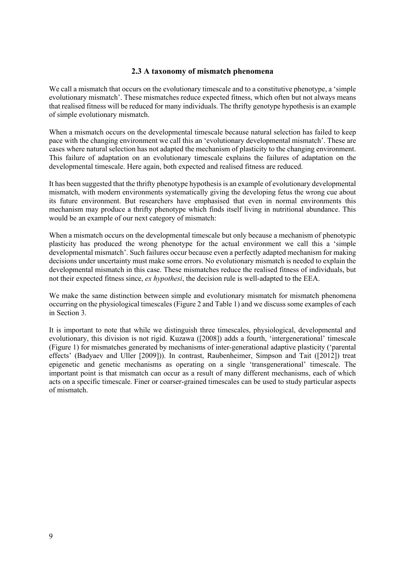### **2.3 A taxonomy of mismatch phenomena**

We call a mismatch that occurs on the evolutionary timescale and to a constitutive phenotype, a 'simple evolutionary mismatch'. These mismatches reduce expected fitness, which often but not always means that realised fitness will be reduced for many individuals. The thrifty genotype hypothesis is an example of simple evolutionary mismatch.

When a mismatch occurs on the developmental timescale because natural selection has failed to keep pace with the changing environment we call this an 'evolutionary developmental mismatch'. These are cases where natural selection has not adapted the mechanism of plasticity to the changing environment. This failure of adaptation on an evolutionary timescale explains the failures of adaptation on the developmental timescale. Here again, both expected and realised fitness are reduced.

It has been suggested that the thrifty phenotype hypothesis is an example of evolutionary developmental mismatch, with modern environments systematically giving the developing fetus the wrong cue about its future environment. But researchers have emphasised that even in normal environments this mechanism may produce a thrifty phenotype which finds itself living in nutritional abundance. This would be an example of our next category of mismatch:

When a mismatch occurs on the developmental timescale but only because a mechanism of phenotypic plasticity has produced the wrong phenotype for the actual environment we call this a 'simple developmental mismatch'. Such failures occur because even a perfectly adapted mechanism for making decisions under uncertainty must make some errors. No evolutionary mismatch is needed to explain the developmental mismatch in this case. These mismatches reduce the realised fitness of individuals, but not their expected fitness since, *ex hypothesi*, the decision rule is well-adapted to the EEA.

We make the same distinction between simple and evolutionary mismatch for mismatch phenomena occurring on the physiological timescales (Figure 2 and Table 1) and we discuss some examples of each in Section 3.

It is important to note that while we distinguish three timescales, physiological, developmental and evolutionary, this division is not rigid. Kuzawa ([2008]) adds a fourth, 'intergenerational' timescale (Figure 1) for mismatches generated by mechanisms of inter-generational adaptive plasticity ('parental effects' (Badyaev and Uller [2009])). In contrast, Raubenheimer, Simpson and Tait ([2012]) treat epigenetic and genetic mechanisms as operating on a single 'transgenerational' timescale. The important point is that mismatch can occur as a result of many different mechanisms, each of which acts on a specific timescale. Finer or coarser-grained timescales can be used to study particular aspects of mismatch.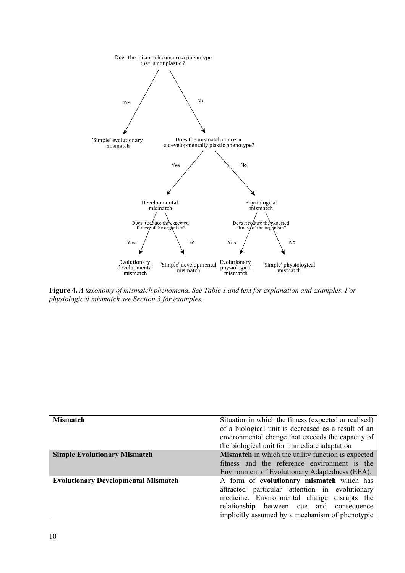

**Figure 4.** *A taxonomy of mismatch phenomena. See Table 1 and text for explanation and examples. For physiological mismatch see Section 3 for examples.* 

| <b>Mismatch</b>                            | Situation in which the fitness (expected or realised)<br>of a biological unit is decreased as a result of an<br>environmental change that exceeds the capacity of<br>the biological unit for immediate adaptation                         |
|--------------------------------------------|-------------------------------------------------------------------------------------------------------------------------------------------------------------------------------------------------------------------------------------------|
| <b>Simple Evolutionary Mismatch</b>        | <b>Mismatch</b> in which the utility function is expected<br>fitness and the reference environment is the<br>Environment of Evolutionary Adaptedness (EEA).                                                                               |
| <b>Evolutionary Developmental Mismatch</b> | A form of evolutionary mismatch which has<br>attracted particular attention in evolutionary<br>medicine. Environmental change disrupts the<br>relationship between cue and consequence<br>implicitly assumed by a mechanism of phenotypic |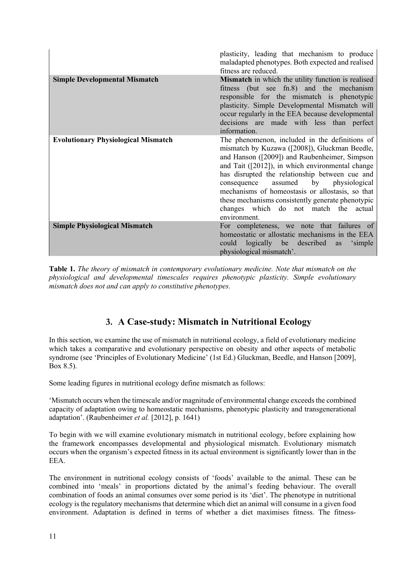|                                            | plasticity, leading that mechanism to produce<br>maladapted phenotypes. Both expected and realised<br>fitness are reduced.                                                                                                                                                                                                                                                                                                                                             |
|--------------------------------------------|------------------------------------------------------------------------------------------------------------------------------------------------------------------------------------------------------------------------------------------------------------------------------------------------------------------------------------------------------------------------------------------------------------------------------------------------------------------------|
| <b>Simple Developmental Mismatch</b>       | Mismatch in which the utility function is realised<br>fitness (but see fn.8) and the mechanism<br>responsible for the mismatch is phenotypic<br>plasticity. Simple Developmental Mismatch will<br>occur regularly in the EEA because developmental<br>decisions are made with less than perfect<br>information.                                                                                                                                                        |
| <b>Evolutionary Physiological Mismatch</b> | The phenomenon, included in the definitions of<br>mismatch by Kuzawa ([2008]), Gluckman Beedle,<br>and Hanson ([2009]) and Raubenheimer, Simpson<br>and Tait ([2012]), in which environmental change<br>has disrupted the relationship between cue and<br>assumed by<br>physiological<br>consequence<br>mechanisms of homeostasis or allostasis, so that<br>these mechanisms consistently generate phenotypic<br>changes which do not match the actual<br>environment. |
| <b>Simple Physiological Mismatch</b>       | For completeness, we note that failures of<br>homeostatic or allostatic mechanisms in the EEA<br>could logically be described<br>as<br>'simple<br>physiological mismatch'.                                                                                                                                                                                                                                                                                             |

**Table 1.** *The theory of mismatch in contemporary evolutionary medicine. Note that mismatch on the physiological and developmental timescales requires phenotypic plasticity. Simple evolutionary mismatch does not and can apply to constitutive phenotypes.*

# **3. A Case-study: Mismatch in Nutritional Ecology**

In this section, we examine the use of mismatch in nutritional ecology, a field of evolutionary medicine which takes a comparative and evolutionary perspective on obesity and other aspects of metabolic syndrome (see 'Principles of Evolutionary Medicine' (1st Ed.) Gluckman, Beedle, and Hanson [2009], Box 8.5).

Some leading figures in nutritional ecology define mismatch as follows:

'Mismatch occurs when the timescale and/or magnitude of environmental change exceeds the combined capacity of adaptation owing to homeostatic mechanisms, phenotypic plasticity and transgenerational adaptation'. (Raubenheimer *et al.* [2012], p. 1641)

To begin with we will examine evolutionary mismatch in nutritional ecology, before explaining how the framework encompasses developmental and physiological mismatch. Evolutionary mismatch occurs when the organism's expected fitness in its actual environment is significantly lower than in the EEA.

The environment in nutritional ecology consists of 'foods' available to the animal. These can be combined into 'meals' in proportions dictated by the animal's feeding behaviour. The overall combination of foods an animal consumes over some period is its 'diet'. The phenotype in nutritional ecology is the regulatory mechanisms that determine which diet an animal will consume in a given food environment. Adaptation is defined in terms of whether a diet maximises fitness. The fitness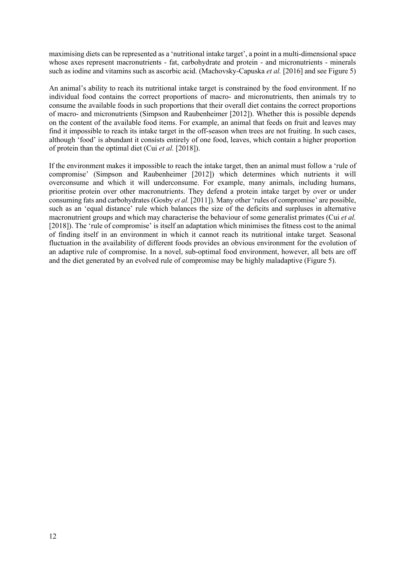maximising diets can be represented as a 'nutritional intake target', a point in a multi-dimensional space whose axes represent macronutrients - fat, carbohydrate and protein - and micronutrients - minerals such as iodine and vitamins such as ascorbic acid. (Machovsky-Capuska *et al.* [2016] and see Figure 5)

An animal's ability to reach its nutritional intake target is constrained by the food environment. If no individual food contains the correct proportions of macro- and micronutrients, then animals try to consume the available foods in such proportions that their overall diet contains the correct proportions of macro- and micronutrients (Simpson and Raubenheimer [2012]). Whether this is possible depends on the content of the available food items. For example, an animal that feeds on fruit and leaves may find it impossible to reach its intake target in the off-season when trees are not fruiting. In such cases, although 'food' is abundant it consists entirely of one food, leaves, which contain a higher proportion of protein than the optimal diet (Cui *et al.* [2018]).

If the environment makes it impossible to reach the intake target, then an animal must follow a 'rule of compromise' (Simpson and Raubenheimer [2012]) which determines which nutrients it will overconsume and which it will underconsume. For example, many animals, including humans, prioritise protein over other macronutrients. They defend a protein intake target by over or under consuming fats and carbohydrates(Gosby *et al.* [2011]). Many other 'rules of compromise' are possible, such as an 'equal distance' rule which balances the size of the deficits and surpluses in alternative macronutrient groups and which may characterise the behaviour of some generalist primates (Cui *et al.* [2018]). The 'rule of compromise' is itself an adaptation which minimises the fitness cost to the animal of finding itself in an environment in which it cannot reach its nutritional intake target. Seasonal fluctuation in the availability of different foods provides an obvious environment for the evolution of an adaptive rule of compromise. In a novel, sub-optimal food environment, however, all bets are off and the diet generated by an evolved rule of compromise may be highly maladaptive (Figure 5).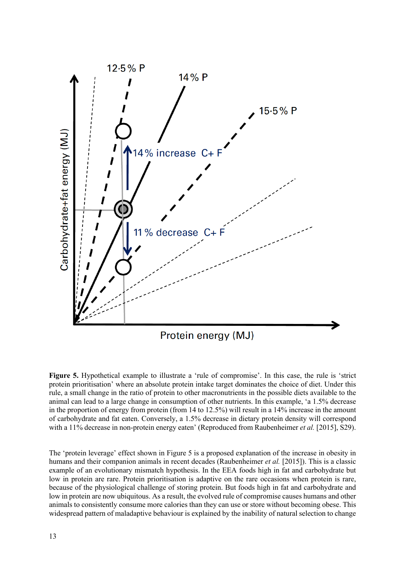

**Figure 5.** Hypothetical example to illustrate a 'rule of compromise'. In this case, the rule is 'strict protein prioritisation' where an absolute protein intake target dominates the choice of diet. Under this rule, a small change in the ratio of protein to other macronutrients in the possible diets available to the animal can lead to a large change in consumption of other nutrients. In this example, 'a 1.5% decrease in the proportion of energy from protein (from 14 to 12.5%) will result in a 14% increase in the amount of carbohydrate and fat eaten. Conversely, a 1.5% decrease in dietary protein density will correspond with a 11% decrease in non-protein energy eaten' (Reproduced from Raubenheimer *et al.* [2015], S29).

The 'protein leverage' effect shown in Figure 5 is a proposed explanation of the increase in obesity in humans and their companion animals in recent decades (Raubenheimer *et al.* [2015]). This is a classic example of an evolutionary mismatch hypothesis. In the EEA foods high in fat and carbohydrate but low in protein are rare. Protein prioritisation is adaptive on the rare occasions when protein is rare, because of the physiological challenge of storing protein. But foods high in fat and carbohydrate and low in protein are now ubiquitous. As a result, the evolved rule of compromise causes humans and other animals to consistently consume more calories than they can use or store without becoming obese. This widespread pattern of maladaptive behaviour is explained by the inability of natural selection to change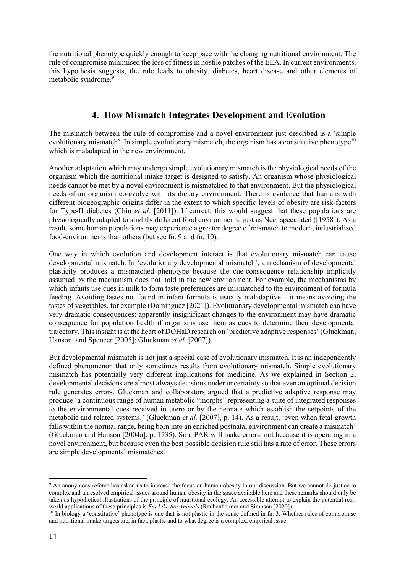the nutritional phenotype quickly enough to keep pace with the changing nutritional environment. The rule of compromise minimised the loss of fitness in hostile patches of the EEA. In current environments, this hypothesis suggests, the rule leads to obesity, diabetes, heart disease and other elements of metabolic syndrome. 9

# **4. How Mismatch Integrates Development and Evolution**

The mismatch between the rule of compromise and a novel environment just described is a 'simple evolutionary mismatch'. In simple evolutionary mismatch, the organism has a constitutive phenotype<sup>10</sup> which is maladapted in the new environment.

Another adaptation which may undergo simple evolutionary mismatch is the physiological needs of the organism which the nutritional intake target is designed to satisfy. An organism whose physiological needs cannot be met by a novel environment is mismatched to that environment. But the physiological needs of an organism co-evolve with its dietary environment. There is evidence that humans with different biogeographic origins differ in the extent to which specific levels of obesity are risk-factors for Type-II diabetes (Chiu *et al.* [2011]). If correct, this would suggest that these populations are physiologically adapted to slightly different food environments, just as Neel speculated ([1958]). As a result, some human populations may experience a greater degree of mismatch to modern, industrialised food-environments than others (but see fn. 9 and fn. 10).

One way in which evolution and development interact is that evolutionary mismatch can cause developmental mismatch. In 'evolutionary developmental mismatch', a mechanism of developmental plasticity produces a mismatched phenotype because the cue-consequence relationship implicitly assumed by the mechanism does not hold in the new environment. For example, the mechanisms by which infants use cues in milk to form taste preferences are mismatched to the environment of formula feeding. Avoiding tastes not found in infant formula is usually maladaptive – it means avoiding the tastes of vegetables, for example (Domínguez [2021]). Evolutionary developmental mismatch can have very dramatic consequences: apparently insignificant changes to the environment may have dramatic consequence for population health if organisms use them as cues to determine their developmental trajectory. This insight is at the heart of DOHaD research on 'predictive adaptive responses' (Gluckman, Hanson, and Spencer [2005]; Gluckman *et al.* [2007]).

But developmental mismatch is not just a special case of evolutionary mismatch. It is an independently defined phenomenon that only sometimes results from evolutionary mismatch. Simple evolutionary mismatch has potentially very different implications for medicine. As we explained in Section 2, developmental decisions are almost always decisions under uncertainty so that even an optimal decision rule generates errors. Gluckman and collaborators argued that a predictive adaptive response may produce 'a continuous range of human metabolic "morphs" representing a suite of integrated responses to the environmental cues received in utero or by the neonate which establish the setpoints of the metabolic and related systems.' (Gluckman *et al.* [2007], p. 14). As a result, 'even when fetal growth falls within the normal range, being born into an enriched postnatal environment can create a mismatch' (Gluckman and Hanson [2004a], p. 1735). So a PAR will make errors, not because it is operating in a novel environment, but because even the best possible decision rule still has a rate of error. These errors are simple developmental mismatches.

<sup>9</sup> An anonymous referee has asked us to increase the focus on human obesity in our discussion. But we cannot do justice to complex and unresolved empirical issues around human obesity in the space available here and these remarks should only be taken as hypothetical illustrations of the principle of nutritional ecology. An accessible attempt to explain the potential realworld applications of these principles is *Eat Like the Animals* (Raubenheimer and Simpson [2020])

 $10$  In biology a 'constitutive' phenotype is one that is not plastic in the sense defined in fn. 3. Whether rules of compromise and nutritional intake targets are, in fact, plastic and to what degree is a complex, empirical issue.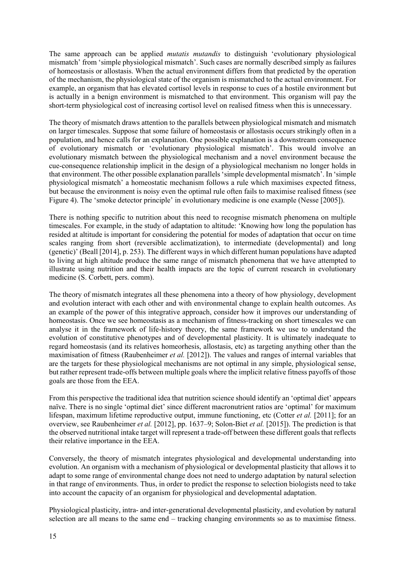The same approach can be applied *mutatis mutandis* to distinguish 'evolutionary physiological mismatch' from 'simple physiological mismatch'. Such cases are normally described simply as failures of homeostasis or allostasis. When the actual environment differs from that predicted by the operation of the mechanism, the physiological state of the organism is mismatched to the actual environment. For example, an organism that has elevated cortisol levels in response to cues of a hostile environment but is actually in a benign environment is mismatched to that environment. This organism will pay the short-term physiological cost of increasing cortisol level on realised fitness when this is unnecessary.

The theory of mismatch draws attention to the parallels between physiological mismatch and mismatch on larger timescales. Suppose that some failure of homeostasis or allostasis occurs strikingly often in a population, and hence calls for an explanation. One possible explanation is a downstream consequence of evolutionary mismatch or 'evolutionary physiological mismatch'. This would involve an evolutionary mismatch between the physiological mechanism and a novel environment because the cue-consequence relationship implicit in the design of a physiological mechanism no longer holds in that environment. The other possible explanation parallels 'simple developmental mismatch'. In 'simple physiological mismatch' a homeostatic mechanism follows a rule which maximises expected fitness, but because the environment is noisy even the optimal rule often fails to maximise realised fitness (see Figure 4). The 'smoke detector principle' in evolutionary medicine is one example (Nesse [2005]).

There is nothing specific to nutrition about this need to recognise mismatch phenomena on multiple timescales. For example, in the study of adaptation to altitude: 'Knowing how long the population has resided at altitude is important for considering the potential for modes of adaptation that occur on time scales ranging from short (reversible acclimatization), to intermediate (developmental) and long (genetic)' (Beall [2014], p. 253). The different ways in which different human populations have adapted to living at high altitude produce the same range of mismatch phenomena that we have attempted to illustrate using nutrition and their health impacts are the topic of current research in evolutionary medicine (S. Corbett, pers. comm).

The theory of mismatch integrates all these phenomena into a theory of how physiology, development and evolution interact with each other and with environmental change to explain health outcomes. As an example of the power of this integrative approach, consider how it improves our understanding of homeostasis. Once we see homeostasis as a mechanism of fitness-tracking on short timescales we can analyse it in the framework of life-history theory, the same framework we use to understand the evolution of constitutive phenotypes and of developmental plasticity. It is ultimately inadequate to regard homeostasis (and its relatives homeorhesis, allostasis, etc) as targeting anything other than the maximisation of fitness (Raubenheimer *et al.* [2012]). The values and ranges of internal variables that are the targets for these physiological mechanisms are not optimal in any simple, physiological sense, but rather represent trade-offs between multiple goals where the implicit relative fitness payoffs of those goals are those from the EEA.

From this perspective the traditional idea that nutrition science should identify an 'optimal diet' appears naïve. There is no single 'optimal diet' since different macronutrient ratios are 'optimal' for maximum lifespan, maximum lifetime reproductive output, immune functioning, etc (Cotter *et al.* [2011]; for an overview, see Raubenheimer *et al.* [2012], pp. 1637–9; Solon-Biet *et al.* [2015]). The prediction is that the observed nutritional intake target will represent a trade-off between these different goals that reflects their relative importance in the EEA.

Conversely, the theory of mismatch integrates physiological and developmental understanding into evolution. An organism with a mechanism of physiological or developmental plasticity that allows it to adapt to some range of environmental change does not need to undergo adaptation by natural selection in that range of environments. Thus, in order to predict the response to selection biologists need to take into account the capacity of an organism for physiological and developmental adaptation.

Physiological plasticity, intra- and inter-generational developmental plasticity, and evolution by natural selection are all means to the same end – tracking changing environments so as to maximise fitness.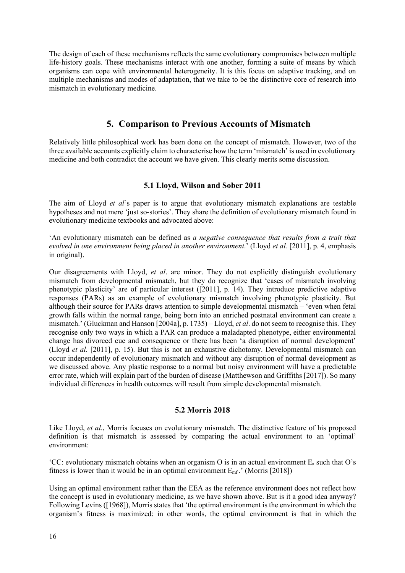The design of each of these mechanisms reflects the same evolutionary compromises between multiple life-history goals. These mechanisms interact with one another, forming a suite of means by which organisms can cope with environmental heterogeneity. It is this focus on adaptive tracking, and on multiple mechanisms and modes of adaptation, that we take to be the distinctive core of research into mismatch in evolutionary medicine.

## **5. Comparison to Previous Accounts of Mismatch**

Relatively little philosophical work has been done on the concept of mismatch. However, two of the three available accounts explicitly claim to characterise how the term 'mismatch' is used in evolutionary medicine and both contradict the account we have given. This clearly merits some discussion.

### **5.1 Lloyd, Wilson and Sober 2011**

The aim of Lloyd *et al*'s paper is to argue that evolutionary mismatch explanations are testable hypotheses and not mere 'just so-stories'. They share the definition of evolutionary mismatch found in evolutionary medicine textbooks and advocated above:

'An evolutionary mismatch can be defined as *a negative consequence that results from a trait that evolved in one environment being placed in another environment*.' (Lloyd *et al.* [2011], p. 4, emphasis in original).

Our disagreements with Lloyd, *et al*. are minor. They do not explicitly distinguish evolutionary mismatch from developmental mismatch, but they do recognize that 'cases of mismatch involving phenotypic plasticity' are of particular interest ([2011], p. 14). They introduce predictive adaptive responses (PARs) as an example of evolutionary mismatch involving phenotypic plasticity. But although their source for PARs draws attention to simple developmental mismatch – 'even when fetal growth falls within the normal range, being born into an enriched postnatal environment can create a mismatch.' (Gluckman and Hanson [2004a], p. 1735) – Lloyd, *et al*. do not seem to recognise this. They recognise only two ways in which a PAR can produce a maladapted phenotype, either environmental change has divorced cue and consequence or there has been 'a disruption of normal development' (Lloyd *et al.* [2011], p. 15). But this is not an exhaustive dichotomy. Developmental mismatch can occur independently of evolutionary mismatch and without any disruption of normal development as we discussed above. Any plastic response to a normal but noisy environment will have a predictable error rate, which will explain part of the burden of disease (Matthewson and Griffiths [2017]). So many individual differences in health outcomes will result from simple developmental mismatch.

#### **5.2 Morris 2018**

Like Lloyd, *et al*., Morris focuses on evolutionary mismatch. The distinctive feature of his proposed definition is that mismatch is assessed by comparing the actual environment to an 'optimal' environment:

'CC: evolutionary mismatch obtains when an organism O is in an actual environment  $E_a$  such that O's fitness is lower than it would be in an optimal environment  $E_{\text{mf}}$ .' (Morris [2018])

Using an optimal environment rather than the EEA as the reference environment does not reflect how the concept is used in evolutionary medicine, as we have shown above. But is it a good idea anyway? Following Levins ([1968]), Morris states that 'the optimal environment is the environment in which the organism's fitness is maximized: in other words, the optimal environment is that in which the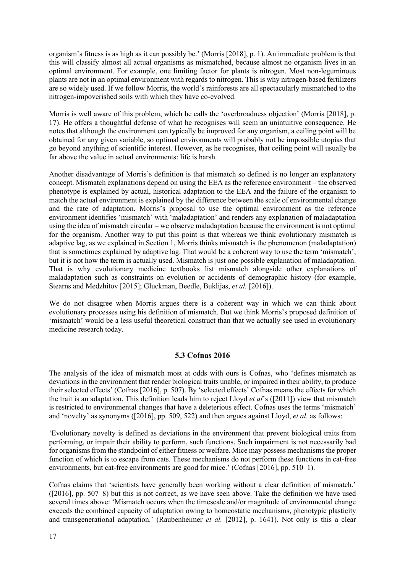organism's fitness is as high as it can possibly be.' (Morris [2018], p. 1). An immediate problem is that this will classify almost all actual organisms as mismatched, because almost no organism lives in an optimal environment. For example, one limiting factor for plants is nitrogen. Most non-leguminous plants are not in an optimal environment with regards to nitrogen. This is why nitrogen-based fertilizers are so widely used. If we follow Morris, the world's rainforests are all spectacularly mismatched to the nitrogen-impoverished soils with which they have co-evolved.

Morris is well aware of this problem, which he calls the 'overbroadness objection' (Morris [2018], p. 17). He offers a thoughtful defense of what he recognises will seem an unintuitive consequence. He notes that although the environment can typically be improved for any organism, a ceiling point will be obtained for any given variable, so optimal environments will probably not be impossible utopias that go beyond anything of scientific interest. However, as he recognises, that ceiling point will usually be far above the value in actual environments: life is harsh.

Another disadvantage of Morris's definition is that mismatch so defined is no longer an explanatory concept. Mismatch explanations depend on using the EEA as the reference environment – the observed phenotype is explained by actual, historical adaptation to the EEA and the failure of the organism to match the actual environment is explained by the difference between the scale of environmental change and the rate of adaptation. Morris's proposal to use the optimal environment as the reference environment identifies 'mismatch' with 'maladaptation' and renders any explanation of maladaptation using the idea of mismatch circular – we observe maladaptation because the environment is not optimal for the organism. Another way to put this point is that whereas we think evolutionary mismatch is adaptive lag, as we explained in Section 1, Morris thinks mismatch is the phenomenon (maladaptation) that is sometimes explained by adaptive lag. That would be a coherent way to use the term 'mismatch', but it is not how the term is actually used. Mismatch is just one possible explanation of maladaptation. That is why evolutionary medicine textbooks list mismatch alongside other explanations of maladaptation such as constraints on evolution or accidents of demographic history (for example, Stearns and Medzhitov [2015]; Gluckman, Beedle, Buklijas, *et al.* [2016]).

We do not disagree when Morris argues there is a coherent way in which we can think about evolutionary processes using his definition of mismatch. But we think Morris's proposed definition of 'mismatch' would be a less useful theoretical construct than that we actually see used in evolutionary medicine research today.

#### **5.3 Cofnas 2016**

The analysis of the idea of mismatch most at odds with ours is Cofnas, who 'defines mismatch as deviations in the environment that render biological traits unable, or impaired in their ability, to produce their selected effects' (Cofnas [2016], p. 507). By 'selected effects' Cofnas means the effects for which the trait is an adaptation. This definition leads him to reject Lloyd *et al*'s ([2011]) view that mismatch is restricted to environmental changes that have a deleterious effect. Cofnas uses the terms 'mismatch' and 'novelty' as synonyms ([2016], pp. 509, 522) and then argues against Lloyd, *et al*. as follows:

'Evolutionary novelty is defined as deviations in the environment that prevent biological traits from performing, or impair their ability to perform, such functions. Such impairment is not necessarily bad for organisms from the standpoint of either fitness or welfare. Mice may possess mechanisms the proper function of which is to escape from cats. These mechanisms do not perform these functions in cat-free environments, but cat-free environments are good for mice.' (Cofnas [2016], pp. 510–1).

Cofnas claims that 'scientists have generally been working without a clear definition of mismatch.' ([2016], pp. 507–8) but this is not correct, as we have seen above. Take the definition we have used several times above: 'Mismatch occurs when the timescale and/or magnitude of environmental change exceeds the combined capacity of adaptation owing to homeostatic mechanisms, phenotypic plasticity and transgenerational adaptation.' (Raubenheimer *et al.* [2012], p. 1641). Not only is this a clear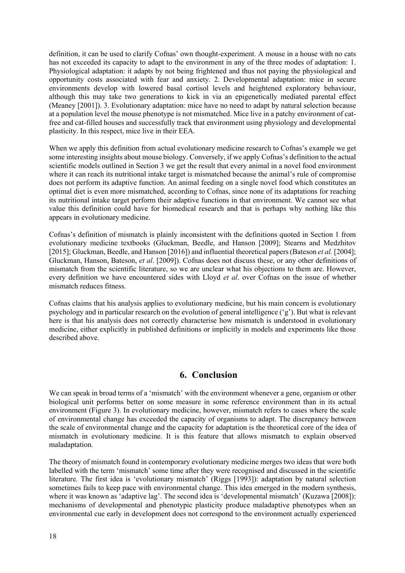definition, it can be used to clarify Cofnas' own thought-experiment. A mouse in a house with no cats has not exceeded its capacity to adapt to the environment in any of the three modes of adaptation: 1. Physiological adaptation: it adapts by not being frightened and thus not paying the physiological and opportunity costs associated with fear and anxiety. 2. Developmental adaptation: mice in secure environments develop with lowered basal cortisol levels and heightened exploratory behaviour, although this may take two generations to kick in via an epigenetically mediated parental effect (Meaney [2001]). 3. Evolutionary adaptation: mice have no need to adapt by natural selection because at a population level the mouse phenotype is not mismatched. Mice live in a patchy environment of catfree and cat-filled houses and successfully track that environment using physiology and developmental plasticity. In this respect, mice live in their EEA.

When we apply this definition from actual evolutionary medicine research to Cofnas's example we get some interesting insights about mouse biology. Conversely, if we apply Cofnas's definition to the actual scientific models outlined in Section 3 we get the result that every animal in a novel food environment where it can reach its nutritional intake target is mismatched because the animal's rule of compromise does not perform its adaptive function. An animal feeding on a single novel food which constitutes an optimal diet is even more mismatched, according to Cofnas, since none of its adaptations for reaching its nutritional intake target perform their adaptive functions in that environment. We cannot see what value this definition could have for biomedical research and that is perhaps why nothing like this appears in evolutionary medicine.

Cofnas's definition of mismatch is plainly inconsistent with the definitions quoted in Section 1 from evolutionary medicine textbooks (Gluckman, Beedle, and Hanson [2009]; Stearns and Medzhitov [2015]; Gluckman, Beedle, and Hanson [2016]) and influential theoretical papers(Bateson *et al.* [2004]; Gluckman, Hanson, Bateson, *et al*. [2009]). Cofnas does not discuss these, or any other definitions of mismatch from the scientific literature, so we are unclear what his objections to them are. However, every definition we have encountered sides with Lloyd *et al*. over Cofnas on the issue of whether mismatch reduces fitness.

Cofnas claims that his analysis applies to evolutionary medicine, but his main concern is evolutionary psychology and in particular research on the evolution of general intelligence ('g'). But what is relevant here is that his analysis does not correctly characterise how mismatch is understood in evolutionary medicine, either explicitly in published definitions or implicitly in models and experiments like those described above.

## **6. Conclusion**

We can speak in broad terms of a 'mismatch' with the environment whenever a gene, organism or other biological unit performs better on some measure in some reference environment than in its actual environment (Figure 3). In evolutionary medicine, however, mismatch refers to cases where the scale of environmental change has exceeded the capacity of organisms to adapt. The discrepancy between the scale of environmental change and the capacity for adaptation is the theoretical core of the idea of mismatch in evolutionary medicine. It is this feature that allows mismatch to explain observed maladaptation.

The theory of mismatch found in contemporary evolutionary medicine merges two ideas that were both labelled with the term 'mismatch' some time after they were recognised and discussed in the scientific literature. The first idea is 'evolutionary mismatch' (Riggs [1993]): adaptation by natural selection sometimes fails to keep pace with environmental change. This idea emerged in the modern synthesis, where it was known as 'adaptive lag'. The second idea is 'developmental mismatch' (Kuzawa [2008]): mechanisms of developmental and phenotypic plasticity produce maladaptive phenotypes when an environmental cue early in development does not correspond to the environment actually experienced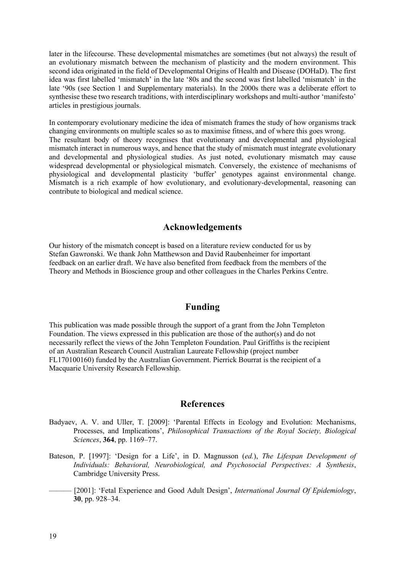later in the lifecourse. These developmental mismatches are sometimes (but not always) the result of an evolutionary mismatch between the mechanism of plasticity and the modern environment. This second idea originated in the field of Developmental Origins of Health and Disease (DOHaD). The first idea was first labelled 'mismatch' in the late '80s and the second was first labelled 'mismatch' in the late '90s (see Section 1 and Supplementary materials). In the 2000s there was a deliberate effort to synthesise these two research traditions, with interdisciplinary workshops and multi-author 'manifesto' articles in prestigious journals.

In contemporary evolutionary medicine the idea of mismatch frames the study of how organisms track changing environments on multiple scales so as to maximise fitness, and of where this goes wrong. The resultant body of theory recognises that evolutionary and developmental and physiological mismatch interact in numerous ways, and hence that the study of mismatch must integrate evolutionary and developmental and physiological studies. As just noted, evolutionary mismatch may cause widespread developmental or physiological mismatch. Conversely, the existence of mechanisms of physiological and developmental plasticity 'buffer' genotypes against environmental change. Mismatch is a rich example of how evolutionary, and evolutionary-developmental, reasoning can contribute to biological and medical science.

### **Acknowledgements**

Our history of the mismatch concept is based on a literature review conducted for us by Stefan Gawronski. We thank John Matthewson and David Raubenheimer for important feedback on an earlier draft. We have also benefited from feedback from the members of the Theory and Methods in Bioscience group and other colleagues in the Charles Perkins Centre.

### **Funding**

This publication was made possible through the support of a grant from the John Templeton Foundation. The views expressed in this publication are those of the author(s) and do not necessarily reflect the views of the John Templeton Foundation. Paul Griffiths is the recipient of an Australian Research Council Australian Laureate Fellowship (project number FL170100160) funded by the Australian Government. Pierrick Bourrat is the recipient of a Macquarie University Research Fellowship.

### **References**

- Badyaev, A. V. and Uller, T. [2009]: 'Parental Effects in Ecology and Evolution: Mechanisms, Processes, and Implications', *Philosophical Transactions of the Royal Society, Biological Sciences*, **364**, pp. 1169–77.
- Bateson, P. [1997]: 'Design for a Life', in D. Magnusson (*ed.*), *The Lifespan Development of Individuals: Behavioral, Neurobiological, and Psychosocial Perspectives: A Synthesis*, Cambridge University Press.
- [2001]: 'Fetal Experience and Good Adult Design', *International Journal Of Epidemiology*, **30**, pp. 928–34.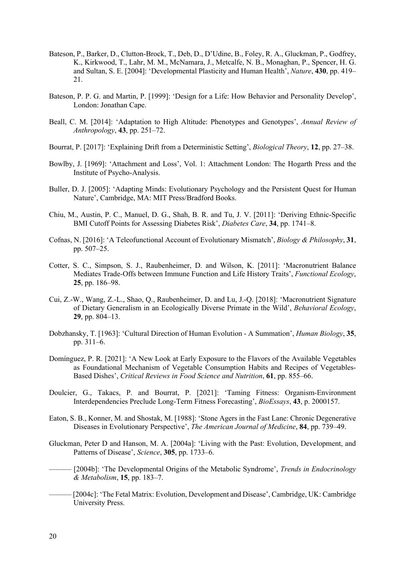- Bateson, P., Barker, D., Clutton-Brock, T., Deb, D., D'Udine, B., Foley, R. A., Gluckman, P., Godfrey, K., Kirkwood, T., Lahr, M. M., McNamara, J., Metcalfe, N. B., Monaghan, P., Spencer, H. G. and Sultan, S. E. [2004]: 'Developmental Plasticity and Human Health', *Nature*, **430**, pp. 419– 21.
- Bateson, P. P. G. and Martin, P. [1999]: 'Design for a Life: How Behavior and Personality Develop', London: Jonathan Cape.
- Beall, C. M. [2014]: 'Adaptation to High Altitude: Phenotypes and Genotypes', *Annual Review of Anthropology*, **43**, pp. 251–72.
- Bourrat, P. [2017]: 'Explaining Drift from a Deterministic Setting', *Biological Theory*, **12**, pp. 27–38.
- Bowlby, J. [1969]: 'Attachment and Loss', Vol. 1: Attachment London: The Hogarth Press and the Institute of Psycho-Analysis.
- Buller, D. J. [2005]: 'Adapting Minds: Evolutionary Psychology and the Persistent Quest for Human Nature', Cambridge, MA: MIT Press/Bradford Books.
- Chiu, M., Austin, P. C., Manuel, D. G., Shah, B. R. and Tu, J. V. [2011]: 'Deriving Ethnic-Specific BMI Cutoff Points for Assessing Diabetes Risk', *Diabetes Care*, **34**, pp. 1741–8.
- Cofnas, N. [2016]: 'A Teleofunctional Account of Evolutionary Mismatch', *Biology & Philosophy*, **31**, pp. 507–25.
- Cotter, S. C., Simpson, S. J., Raubenheimer, D. and Wilson, K. [2011]: 'Macronutrient Balance Mediates Trade-Offs between Immune Function and Life History Traits', *Functional Ecology*, **25**, pp. 186–98.
- Cui, Z.-W., Wang, Z.-L., Shao, Q., Raubenheimer, D. and Lu, J.-Q. [2018]: 'Macronutrient Signature of Dietary Generalism in an Ecologically Diverse Primate in the Wild', *Behavioral Ecology*, **29**, pp. 804–13.
- Dobzhansky, T. [1963]: 'Cultural Direction of Human Evolution A Summation', *Human Biology*, **35**, pp. 311–6.
- Domínguez, P. R. [2021]: 'A New Look at Early Exposure to the Flavors of the Available Vegetables as Foundational Mechanism of Vegetable Consumption Habits and Recipes of Vegetables-Based Dishes', *Critical Reviews in Food Science and Nutrition*, **61**, pp. 855–66.
- Doulcier, G., Takacs, P. and Bourrat, P. [2021]: 'Taming Fitness: Organism-Environment Interdependencies Preclude Long-Term Fitness Forecasting', *BioEssays*, **43**, p. 2000157.
- Eaton, S. B., Konner, M. and Shostak, M. [1988]: 'Stone Agers in the Fast Lane: Chronic Degenerative Diseases in Evolutionary Perspective', *The American Journal of Medicine*, **84**, pp. 739–49.
- Gluckman, Peter D and Hanson, M. A. [2004a]: 'Living with the Past: Evolution, Development, and Patterns of Disease', *Science*, **305**, pp. 1733–6.
- ——— [2004b]: 'The Developmental Origins of the Metabolic Syndrome', *Trends in Endocrinology & Metabolism*, **15**, pp. 183–7.
- ——— [2004c]: 'The Fetal Matrix: Evolution, Development and Disease', Cambridge, UK: Cambridge University Press.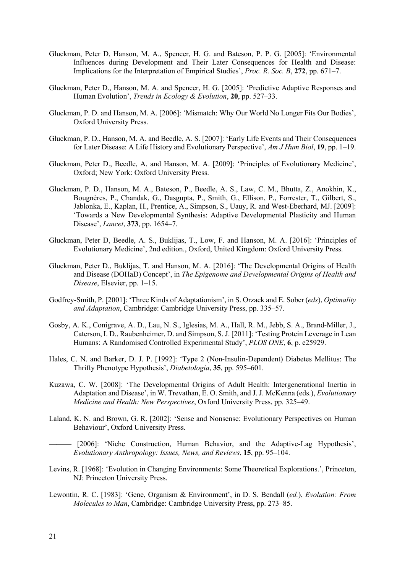- Gluckman, Peter D, Hanson, M. A., Spencer, H. G. and Bateson, P. P. G. [2005]: 'Environmental Influences during Development and Their Later Consequences for Health and Disease: Implications for the Interpretation of Empirical Studies', *Proc. R. Soc. B*, **272**, pp. 671–7.
- Gluckman, Peter D., Hanson, M. A. and Spencer, H. G. [2005]: 'Predictive Adaptive Responses and Human Evolution', *Trends in Ecology & Evolution*, **20**, pp. 527–33.
- Gluckman, P. D. and Hanson, M. A. [2006]: 'Mismatch: Why Our World No Longer Fits Our Bodies', Oxford University Press.
- Gluckman, P. D., Hanson, M. A. and Beedle, A. S. [2007]: 'Early Life Events and Their Consequences for Later Disease: A Life History and Evolutionary Perspective', *Am J Hum Biol*, **19**, pp. 1–19.
- Gluckman, Peter D., Beedle, A. and Hanson, M. A. [2009]: 'Principles of Evolutionary Medicine', Oxford; New York: Oxford University Press.
- Gluckman, P. D., Hanson, M. A., Bateson, P., Beedle, A. S., Law, C. M., Bhutta, Z., Anokhin, K., Bougnères, P., Chandak, G., Dasgupta, P., Smith, G., Ellison, P., Forrester, T., Gilbert, S., Jablonka, E., Kaplan, H., Prentice, A., Simpson, S., Uauy, R. and West-Eberhard, MJ. [2009]: 'Towards a New Developmental Synthesis: Adaptive Developmental Plasticity and Human Disease', *Lancet*, **373**, pp. 1654–7.
- Gluckman, Peter D, Beedle, A. S., Buklijas, T., Low, F. and Hanson, M. A. [2016]: 'Principles of Evolutionary Medicine', 2nd edition., Oxford, United Kingdom: Oxford University Press.
- Gluckman, Peter D., Buklijas, T. and Hanson, M. A. [2016]: 'The Developmental Origins of Health and Disease (DOHaD) Concept', in *The Epigenome and Developmental Origins of Health and Disease*, Elsevier, pp. 1–15.
- Godfrey-Smith, P. [2001]: 'Three Kinds of Adaptationism', in S. Orzack and E. Sober (*eds*), *Optimality and Adaptation*, Cambridge: Cambridge University Press, pp. 335–57.
- Gosby, A. K., Conigrave, A. D., Lau, N. S., Iglesias, M. A., Hall, R. M., Jebb, S. A., Brand-Miller, J., Caterson, I. D., Raubenheimer, D. and Simpson, S. J. [2011]: 'Testing Protein Leverage in Lean Humans: A Randomised Controlled Experimental Study', *PLOS ONE*, **6**, p. e25929.
- Hales, C. N. and Barker, D. J. P. [1992]: 'Type 2 (Non-Insulin-Dependent) Diabetes Mellitus: The Thrifty Phenotype Hypothesis', *Diabetologia*, **35**, pp. 595–601.
- Kuzawa, C. W. [2008]: 'The Developmental Origins of Adult Health: Intergenerational Inertia in Adaptation and Disease', in W. Trevathan, E. O. Smith, and J. J. McKenna (eds.), *Evolutionary Medicine and Health: New Perspectives*, Oxford University Press, pp. 325–49.
- Laland, K. N. and Brown, G. R. [2002]: 'Sense and Nonsense: Evolutionary Perspectives on Human Behaviour', Oxford University Press.

——— [2006]: 'Niche Construction, Human Behavior, and the Adaptive-Lag Hypothesis', *Evolutionary Anthropology: Issues, News, and Reviews*, **15**, pp. 95–104.

- Levins, R. [1968]: 'Evolution in Changing Environments: Some Theoretical Explorations.', Princeton, NJ: Princeton University Press.
- Lewontin, R. C. [1983]: 'Gene, Organism & Environment', in D. S. Bendall (*ed.*), *Evolution: From Molecules to Man*, Cambridge: Cambridge University Press, pp. 273–85.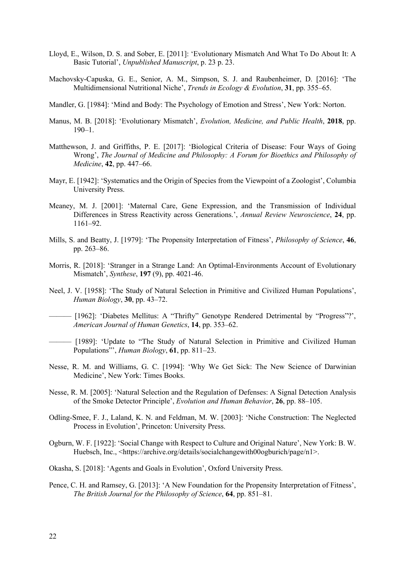- Lloyd, E., Wilson, D. S. and Sober, E. [2011]: 'Evolutionary Mismatch And What To Do About It: A Basic Tutorial', *Unpublished Manuscript*, p. 23 p. 23.
- Machovsky-Capuska, G. E., Senior, A. M., Simpson, S. J. and Raubenheimer, D. [2016]: 'The Multidimensional Nutritional Niche', *Trends in Ecology & Evolution*, **31**, pp. 355–65.
- Mandler, G. [1984]: 'Mind and Body: The Psychology of Emotion and Stress', New York: Norton.
- Manus, M. B. [2018]: 'Evolutionary Mismatch', *Evolution, Medicine, and Public Health*, **2018**, pp.  $190-1$ .
- Matthewson, J. and Griffiths, P. E. [2017]: 'Biological Criteria of Disease: Four Ways of Going Wrong', *The Journal of Medicine and Philosophy: A Forum for Bioethics and Philosophy of Medicine*, **42**, pp. 447–66.
- Mayr, E. [1942]: 'Systematics and the Origin of Species from the Viewpoint of a Zoologist', Columbia University Press.
- Meaney, M. J. [2001]: 'Maternal Care, Gene Expression, and the Transmission of Individual Differences in Stress Reactivity across Generations.', *Annual Review Neuroscience*, **24**, pp. 1161–92.
- Mills, S. and Beatty, J. [1979]: 'The Propensity Interpretation of Fitness', *Philosophy of Science*, **46**, pp. 263–86.
- Morris, R. [2018]: 'Stranger in a Strange Land: An Optimal-Environments Account of Evolutionary Mismatch', *Synthese*, **197** (9), pp. 4021-46.
- Neel, J. V. [1958]: 'The Study of Natural Selection in Primitive and Civilized Human Populations', *Human Biology*, **30**, pp. 43–72.
- ——— [1962]: 'Diabetes Mellitus: A "Thrifty" Genotype Rendered Detrimental by "Progress"?', *American Journal of Human Genetics*, **14**, pp. 353–62.
- ——— [1989]: 'Update to "The Study of Natural Selection in Primitive and Civilized Human Populations"', *Human Biology*, **61**, pp. 811–23.
- Nesse, R. M. and Williams, G. C. [1994]: 'Why We Get Sick: The New Science of Darwinian Medicine', New York: Times Books.
- Nesse, R. M. [2005]: 'Natural Selection and the Regulation of Defenses: A Signal Detection Analysis of the Smoke Detector Principle', *Evolution and Human Behavior*, **26**, pp. 88–105.
- Odling-Smee, F. J., Laland, K. N. and Feldman, M. W. [2003]: 'Niche Construction: The Neglected Process in Evolution', Princeton: University Press.
- Ogburn, W. F. [1922]: 'Social Change with Respect to Culture and Original Nature', New York: B. W. Huebsch, Inc., <https://archive.org/details/socialchangewith00ogburich/page/n1>.
- Okasha, S. [2018]: 'Agents and Goals in Evolution', Oxford University Press.
- Pence, C. H. and Ramsey, G. [2013]: 'A New Foundation for the Propensity Interpretation of Fitness', *The British Journal for the Philosophy of Science*, **64**, pp. 851–81.